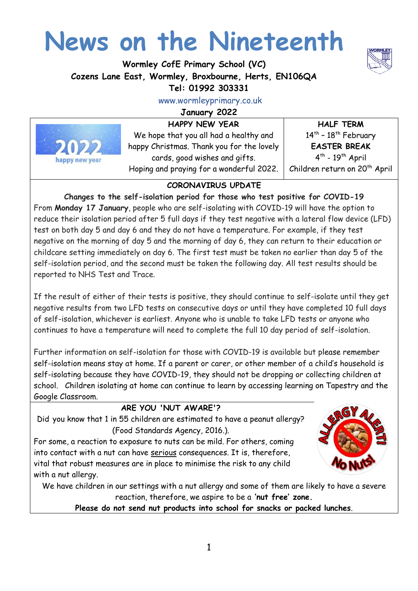# **News on the Nineteenth**

**Wormley CofE Primary School (VC) Cozens Lane East, Wormley, Broxbourne, Herts, EN106QA**

## **Tel: 01992 303331**

www.wormleyprimary.co.uk

**January 2022**

**HAPPY NEW YEAR**



We hope that you all had a healthy and happy Christmas. Thank you for the lovely cards, good wishes and gifts. Hoping and praying for a wonderful 2022.

**HALF TERM**   $14^{\text{th}}$  -  $18^{\text{th}}$  February **EASTER BREAK** 4<sup>th</sup> - 19<sup>th</sup> April Children return on 20<sup>th</sup> April

## **CORONAVIRUS UPDATE**

**Changes to the self-isolation period for those who test positive for COVID-19** From **Monday 17 January**, people who are self-isolating with COVID-19 will have the option to reduce their isolation period after 5 full days if they test negative with a lateral flow device (LFD) test on both day 5 and day 6 and they do not have a temperature. For example, if they test negative on the morning of day 5 and the morning of day 6, they can return to their education or childcare setting immediately on day 6. The first test must be taken no earlier than day 5 of the self-isolation period, and the second must be taken the following day. All test results should be reported to NHS Test and Trace.

If the result of either of their tests is positive, they should continue to self-isolate until they get negative results from two LFD tests on consecutive days or until they have completed 10 full days of self-isolation, whichever is earliest. Anyone who is unable to take LFD tests or anyone who continues to have a temperature will need to complete the full 10 day period of self-isolation.

Further information on self-isolation for those with COVID-19 is available but please remember self-isolation means stay at home. If a parent or carer, or other member of a child's household is self-isolating because they have COVID-19, they should not be dropping or collecting children at school. Children isolating at home can continue to learn by accessing learning on Tapestry and the Google Classroom.

## **ARE YOU 'NUT AWARE'?**

Did you know that 1 in 55 children are estimated to have a peanut allergy? (Food Standards Agency, 2016.).

For some, a reaction to exposure to nuts can be mild. For others, coming into contact with a nut can have serious consequences. It is, therefore, vital that robust measures are in place to minimise the risk to any child with a nut allergy.



We have children in our settings with a nut allergy and some of them are likely to have a severe reaction, therefore, we aspire to be a **'nut free' zone.**

**Please do not send nut products into school for snacks or packed lunches**.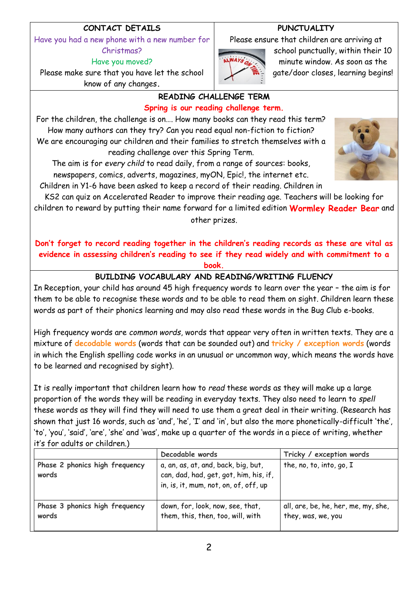## **CONTACT DETAILS**

Have you had a new phone with a new number for Christmas?

Have you moved?

Please make sure that you have let the school know of any changes**.**

## **PUNCTUALITY**

Please ensure that children are arriving at



school punctually, within their 10 minute window. As soon as the gate/door closes, learning begins!

#### **READING CHALLENGE TERM Spring is our reading challenge term.**

For the children, the challenge is on…. How many books can they read this term? How many authors can they try? Can you read equal non-fiction to fiction? We are encouraging our children and their families to stretch themselves with a reading challenge over this Spring Term.

The aim is for *every child* to read daily, from a range of sources: books, newspapers, comics, adverts, magazines, myON, Epic!, the internet etc.

Children in Y1-6 have been asked to keep a record of their reading. Children in

KS2 can quiz on Accelerated Reader to improve their reading age. Teachers will be looking for children to reward by putting their name forward for a limited edition **Wormley Reader Bear** and other prizes.

**Don't forget to record reading together in the children's reading records as these are vital as evidence in assessing children's reading to see if they read widely and with commitment to a book.**

## **BUILDING VOCABULARY AND READING/WRITING FLUENCY**

In Reception, your child has around 45 high frequency words to learn over the year – the aim is for them to be able to recognise these words and to be able to read them on sight. Children learn these words as part of their phonics learning and may also read these words in the Bug Club e-books.

High frequency words are *common words*, words that appear very often in written texts. They are a mixture of **[decodable words](http://www.theschoolrun.com/what-is-decoding)** (words that can be sounded out) and **[tricky / exception words](http://www.theschoolrun.com/what-are-exception-words)** (words in which the English spelling code works in an unusual or uncommon way, which means the words have to be learned and recognised by sight).

It is really important that children learn how to *read* these words as they will make up a large proportion of the words they will be reading in everyday texts. They also need to learn to *spell* these words as they will find they will need to use them a great deal in their writing. (Research has shown that just 16 words, such as 'and', 'he', 'I' and 'in', but also the more phonetically-difficult 'the', 'to', 'you', 'said', 'are', 'she' and 'was', make up a quarter of the words in a piece of writing, whether it's for adults or children.)

|                                         | Decodable words                                                                                                        | Tricky / exception words                                  |
|-----------------------------------------|------------------------------------------------------------------------------------------------------------------------|-----------------------------------------------------------|
| Phase 2 phonics high frequency<br>words | a, an, as, at, and, back, big, but,<br>can, dad, had, get, got, him, his, if,<br>in, is, it, mum, not, on, of, off, up | the, no, to, into, go, I                                  |
| Phase 3 phonics high frequency<br>words | down, for, look, now, see, that,<br>them, this, then, too, will, with                                                  | all, are, be, he, her, me, my, she,<br>they, was, we, you |

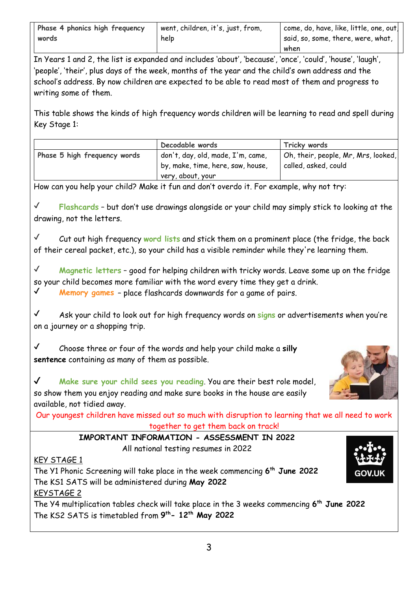| Phase 4 phonics high frequency | went, children, it's, just, from, | $\vert$ come, do, have, like, little, one, out $\vert$ |
|--------------------------------|-----------------------------------|--------------------------------------------------------|
| words                          | help                              | I said, so, some, there, were, what,                   |
|                                |                                   | when                                                   |

In Years 1 and 2, the list is expanded and includes 'about', 'because', 'once', 'could', 'house', 'laugh', 'people', 'their', plus days of the week, months of the year and the child's own address and the school's address. By now children are expected to be able to read most of them and progress to writing some of them.

This table shows the kinds of high frequency words children will be learning to read and spell during Key Stage 1:

|                              | Decodable words                   | Tricky words                        |
|------------------------------|-----------------------------------|-------------------------------------|
| Phase 5 high frequency words | don't, day, old, made, I'm, came, | Oh, their, people, Mr, Mrs, looked, |
|                              | by, make, time, here, saw, house, | called, asked, could                |
|                              | very, about, your                 |                                     |

How can you help your child? Make it fun and don't overdo it. For example, why not try:

✔ **Flashcards** – but don't use drawings alongside or your child may simply stick to looking at the drawing, not the letters.

✔ Cut out high frequency **word lists** and stick them on a prominent place (the fridge, the back of their cereal packet, etc.), so your child has a visible reminder while they're learning them.

✔ **Magnetic letters** – good for helping children with tricky words. Leave some up on the fridge so your child becomes more familiar with the word every time they get a drink. ✔ **[Memory games](http://www.theschoolrun.com/tricky-words-memory-game)** – place flashcards downwards for a game of pairs.

✔ Ask your child to look out for high frequency words on **signs** or advertisements when you're on a journey or a shopping trip.

✔ Choose three or four of the words and help your child make a **silly sentence** containing as many of them as possible.



✔ **Make sure your child sees you reading**. You are their best role model, so show them you enjoy reading and make sure books in the house are easily available, not tidied away.

Our youngest children have missed out so much with disruption to learning that we all need to work together to get them back on track!

**IMPORTANT INFORMATION - ASSESSMENT IN 2022**

All national testing resumes in 2022

## KEY STAGE 1

The Y1 Phonic Screening will take place in the week commencing **6 th June 2022** The KS1 SATS will be administered during **May 2022** KEYSTAGE 2

The Y4 multiplication tables check will take place in the 3 weeks commencing **6 th June 2022** The KS2 SATS is timetabled from **9 th- 12th May 2022**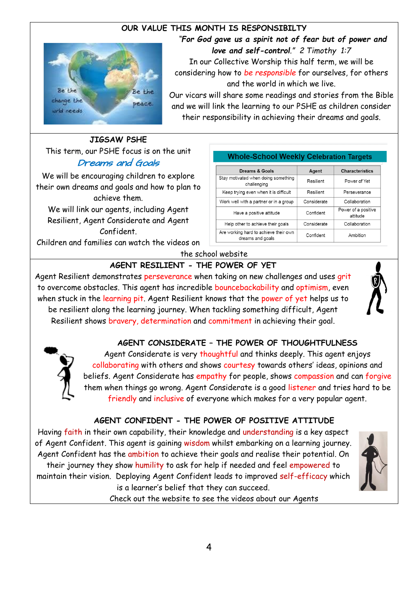## **OUR VALUE THIS MONTH IS RESPONSIBILTY**



*"For God gave us a spirit not of fear but of power and love and self-control." 2 Timothy 1:7* In our Collective Worship this half term, we will be

considering how to *be responsible* for ourselves, for others and the world in which we live.

Our vicars will share some readings and stories from the Bible and we will link the learning to our PSHE as children consider their responsibility in achieving their dreams and goals.

## **JIGSAW PSHE**

This term, our PSHE focus is on the unit Dreams and Goals

We will be encouraging children to explore their own dreams and goals and how to plan to achieve them.

We will link our agents, including Agent Resilient, Agent Considerate and Agent Confident.

Children and families can watch the videos on

#### **Whole-School Weekly Celebration Targets**

| Dreams & Goals                                            | Agent       | <b>Characteristics</b>          |
|-----------------------------------------------------------|-------------|---------------------------------|
| Stay motivated when doing something<br>challenging        | Resilient   | Power of Yet                    |
| Keep trying even when it is difficult                     | Resilient   | Perseverance                    |
| Work well with a partner or in a group                    | Considerate | Collaboration                   |
| Have a positive attitude                                  | Confident   | Power of a positive<br>attitude |
| Help other to achieve their goals                         | Considerate | Collaboration                   |
| Are working hard to achieve their own<br>dreams and goals | Confident   | Ambition                        |

#### the school website **AGENT RESILIENT - THE POWER OF YET**

Agent Resilient demonstrates perseverance when taking on new challenges and uses grit to overcome obstacles. This agent has incredible bouncebackability and optimism, even when stuck in the learning pit. Agent Resilient knows that the power of yet helps us to be resilient along the learning journey. When tackling something difficult, Agent Resilient shows bravery, determination and commitment in achieving their goal.



#### **AGENT CONSIDERATE – THE POWER OF THOUGHTFULNESS**

Agent Considerate is very thoughtful and thinks deeply. This agent enjoys collaborating with others and shows courtesy towards others' ideas, opinions and beliefs. Agent Considerate has empathy for people, shows compassion and can forgive them when things go wrong. Agent Considerate is a good listener and tries hard to be friendly and inclusive of everyone which makes for a very popular agent.

#### **AGENT CONFIDENT - THE POWER OF POSITIVE ATTITUDE**

Having faith in their own capability, their knowledge and understanding is a key aspect of Agent Confident. This agent is gaining wisdom whilst embarking on a learning journey. Agent Confident has the ambition to achieve their goals and realise their potential. On their journey they show humility to ask for help if needed and feel empowered to maintain their vision. Deploying Agent Confident leads to improved self-efficacy which is a learner's belief that they can succeed.



Check out the website to see the videos about our Agents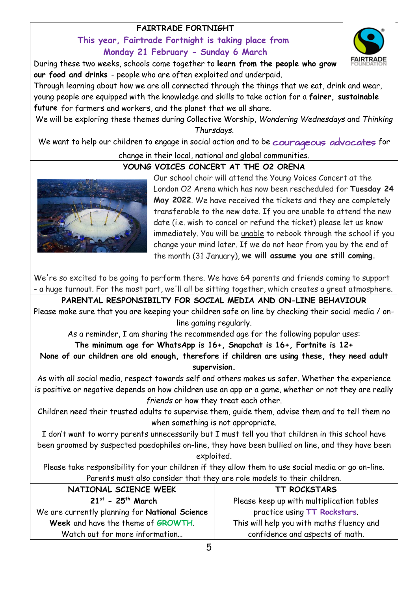## **FAIRTRADE FORTNIGHT**

## **This year, Fairtrade Fortnight is taking place from Monday 21 February - Sunday 6 March**

During these two weeks, schools come together to **learn from the people who grow our food and drinks** - people who are often exploited and underpaid.

Through learning about how we are all connected through the things that we eat, drink and wear, young people are equipped with the knowledge and skills to take action for a **fairer, sustainable future** for farmers and workers, and the planet that we all share.

We will be exploring these themes during Collective Worship, *Wondering Wednesdays* and *Thinking Thursdays*.

We want to help our children to engage in social action and to be courageous advocates for change in their local, national and global communities.

## **YOUNG VOICES CONCERT AT THE O2 ORENA**



Our school choir will attend the Young Voices Concert at the London O2 Arena which has now been rescheduled for **Tuesday 24 May 2022**. We have received the tickets and they are completely transferable to the new date. If you are unable to attend the new date (i.e. wish to cancel or refund the ticket) please let us know immediately. You will be unable to rebook through the school if you change your mind later. If we do not hear from you by the end of the month (31 January), **we will assume you are still coming.**

**FAIRTRADE** 

We're so excited to be going to perform there. We have 64 parents and friends coming to support - a huge turnout. For the most part, we'll all be sitting together, which creates a great atmosphere.

**PARENTAL RESPONSIBILTY FOR SOCIAL MEDIA AND ON-LINE BEHAVIOUR** Please make sure that you are keeping your children safe on line by checking their social media / online gaming regularly.

As a reminder, I am sharing the recommended age for the following popular uses:

#### **The minimum age for WhatsApp is 16+, Snapchat is 16+, Fortnite is 12+**

**None of our children are old enough, therefore if children are using these, they need adult supervision.**

As with all social media, respect towards self and others makes us safer. Whether the experience is positive or negative depends on how children use an app or a game, whether or not they are really *friends* or how they treat each other.

Children need their trusted adults to supervise them, guide them, advise them and to tell them no when something is not appropriate.

I don't want to worry parents unnecessarily but I must tell you that children in this school have been groomed by suspected paedophiles on-line, they have been bullied on line, and they have been exploited.

Please take responsibility for your children if they allow them to use social media or go on-line. Parents must also consider that they are role models to their children.

| NATIONAL SCIENCE WEEK                          | TT ROCKSTARS                              |
|------------------------------------------------|-------------------------------------------|
| $21^{st}$ - 25 <sup>th</sup> March             | Please keep up with multiplication tables |
| We are currently planning for National Science | practice using TT Rockstars.              |
| Week and have the theme of GROWTH.             | This will help you with maths fluency and |
| Watch out for more information                 | confidence and aspects of math.           |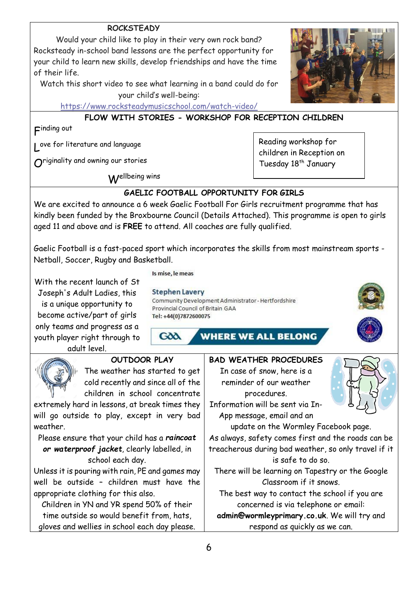## **ROCKSTEADY**

Would your child like to play in their very own rock band? Rocksteady in-school band lessons are the perfect opportunity for your child to learn new skills, develop friendships and have the time of their life.

Watch this short video to see what learning in a band could do for your child's well-being:

<https://www.rocksteadymusicschool.com/watch-video/>

## **FLOW WITH STORIES - WORKSHOP FOR RECEPTION CHILDREN**

F inding out

L ove for literature and language

 $\bm{O}$ riginality and owning our stories

Wellbeing wins

Reading workshop for children in Reception on Tuesday 18<sup>th</sup> January

## **GAELIC FOOTBALL OPPORTUNITY FOR GIRLS**

We are excited to announce a 6 week Gaelic Football For Girls recruitment programme that has kindly been funded by the Broxbourne Council (Details Attached). This programme is open to girls aged 11 and above and is **FREE** to attend. All coaches are fully qualified.

Gaelic Football is a fast-paced sport which incorporates the skills from most mainstream sports - Netball, Soccer, Rugby and Basketball.

With the recent launch of St Joseph's Adult Ladies, this is a unique opportunity to become active/part of girls only teams and progress as a youth player right through to

adult level.

Is mise, le meas

#### **Stephen Lavery**

Community Development Administrator - Hertfordshire Provincial Council of Britain GAA Tel: +44(0)7872600075

GOO

**WHERE WE ALL BELONG** 



#### **OUTDOOR PLAY**

The weather has started to get cold recently and since all of the children in school concentrate

extremely hard in lessons, at break times they will go outside to play, except in very bad weather.

Please ensure that your child has a *raincoat or waterproof jacket*, clearly labelled, in school each day.

Unless it is pouring with rain, PE and games may well be outside – children must have the appropriate clothing for this also.

Children in YN and YR spend 50% of their time outside so would benefit from, hats, gloves and wellies in school each day please.



There will be learning on Tapestry or the Google Classroom if it snows.

The best way to contact the school if you are concerned is via telephone or email:

**admin@wormleyprimary.co.uk**. We will try and respond as quickly as we can.